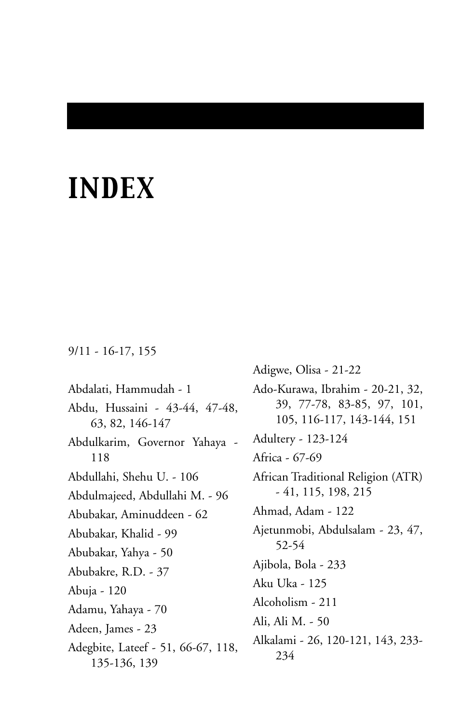# *INDEX*

#### 9/11 - 16-17, 155

Abdalati, Hammudah - 1 Abdu, Hussaini - 43-44, 47-48, 63, 82, 146-147 Abdulkarim, Governor Yahaya - 118 Abdullahi, Shehu U. - 106 Abdulmajeed, Abdullahi M. - 96 Abubakar, Aminuddeen - 62 Abubakar, Khalid - 99 Abubakar, Yahya - 50 Abubakre, R.D. - 37 Abuja - 120 Adamu, Yahaya - 70 Adeen, James - 23 Adegbite, Lateef - 51, 66-67, 118, 135-136, 139

Adigwe, Olisa - 21-22 Ado-Kurawa, Ibrahim - 20-21, 32, 39, 77-78, 83-85, 97, 101, 105, 116-117, 143-144, 151 Adultery - 123-124 Africa - 67-69 African Traditional Religion (ATR) - 41, 115, 198, 215 Ahmad, Adam - 122 Ajetunmobi, Abdulsalam - 23, 47, 52-54 Ajibola, Bola - 233 Aku Uka - 125 Alcoholism - 211 Ali, Ali M. - 50 Alkalami - 26, 120-121, 143, 233- 234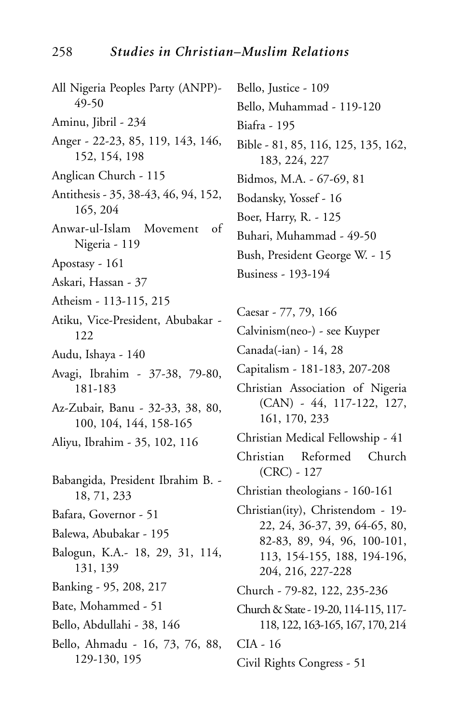All Nigeria Peoples Party (ANPP)- 49-50 Aminu, Jibril - 234 Anger - 22-23, 85, 119, 143, 146, 152, 154, 198 Anglican Church - 115 Antithesis - 35, 38-43, 46, 94, 152, 165, 204 Anwar-ul-Islam Movement of Nigeria - 119 Apostasy - 161 Askari, Hassan - 37 Atheism - 113-115, 215 Atiku, Vice-President, Abubakar - 122 Audu, Ishaya - 140 Avagi, Ibrahim - 37-38, 79-80, 181-183 Az-Zubair, Banu - 32-33, 38, 80, 100, 104, 144, 158-165 Aliyu, Ibrahim - 35, 102, 116 Babangida, President Ibrahim B. - 18, 71, 233 Bafara, Governor - 51 Balewa, Abubakar - 195 Balogun, K.A.- 18, 29, 31, 114, 131, 139 Banking - 95, 208, 217 Bate, Mohammed - 51 Bello, Abdullahi - 38, 146 Bello, Ahmadu - 16, 73, 76, 88, 129-130, 195

Bello, Justice - 109 Bello, Muhammad - 119-120 Biafra - 195 Bible - 81, 85, 116, 125, 135, 162, 183, 224, 227 Bidmos, M.A. - 67-69, 81 Bodansky, Yossef - 16 Boer, Harry, R. - 125 Buhari, Muhammad - 49-50 Bush, President George W. - 15 Business - 193-194

Caesar - 77, 79, 166

Calvinism(neo-) - see Kuyper

Canada(-ian) - 14, 28

Capitalism - 181-183, 207-208

- Christian Association of Nigeria (CAN) - 44, 117-122, 127, 161, 170, 233
- Christian Medical Fellowship 41
- Christian Reformed Church (CRC) - 127

Christian theologians - 160-161

Christian(ity), Christendom - 19- 22, 24, 36-37, 39, 64-65, 80, 82-83, 89, 94, 96, 100-101, 113, 154-155, 188, 194-196, 204, 216, 227-228

Church - 79-82, 122, 235-236

Church & State - 19-20, 114-115, 117- 118, 122, 163-165, 167, 170, 214

CIA - 16

Civil Rights Congress - 51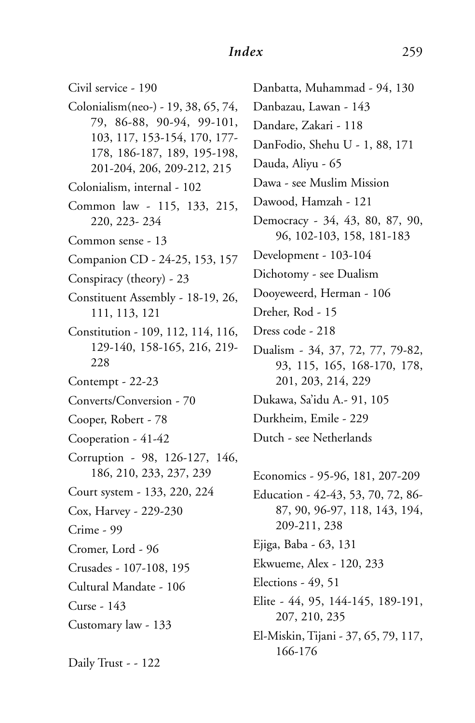### *Index* 259

Civil service - 190 Colonialism(neo-) - 19, 38, 65, 74, 79, 86-88, 90-94, 99-101, 103, 117, 153-154, 170, 177- 178, 186-187, 189, 195-198, 201-204, 206, 209-212, 215 Colonialism, internal - 102 Common law - 115, 133, 215, 220, 223- 234 Common sense - 13 Companion CD - 24-25, 153, 157 Conspiracy (theory) - 23 Constituent Assembly - 18-19, 26, 111, 113, 121 Constitution - 109, 112, 114, 116, 129-140, 158-165, 216, 219- 228 Contempt - 22-23 Converts/Conversion - 70 Cooper, Robert - 78 Cooperation - 41-42 Corruption - 98, 126-127, 146, 186, 210, 233, 237, 239 Court system - 133, 220, 224 Cox, Harvey - 229-230 Crime - 99 Cromer, Lord - 96 Crusades - 107-108, 195 Cultural Mandate - 106 Curse - 143 Customary law - 133 Daily Trust - - 122

Danbatta, Muhammad - 94, 130 Danbazau, Lawan - 143 Dandare, Zakari - 118 DanFodio, Shehu U - 1, 88, 171 Dauda, Aliyu - 65 Dawa - see Muslim Mission Dawood, Hamzah - 121 Democracy - 34, 43, 80, 87, 90, 96, 102-103, 158, 181-183 Development - 103-104 Dichotomy - see Dualism Dooyeweerd, Herman - 106 Dreher, Rod - 15 Dress code - 218 Dualism - 34, 37, 72, 77, 79-82, 93, 115, 165, 168-170, 178, 201, 203, 214, 229 Dukawa, Sa'idu A.- 91, 105 Durkheim, Emile - 229 Dutch - see Netherlands Economics - 95-96, 181, 207-209 Education - 42-43, 53, 70, 72, 86- 87, 90, 96-97, 118, 143, 194, 209-211, 238 Ejiga, Baba - 63, 131 Ekwueme, Alex - 120, 233 Elections - 49, 51 Elite - 44, 95, 144-145, 189-191,

El-Miskin, Tijani - 37, 65, 79, 117, 166-176

207, 210, 235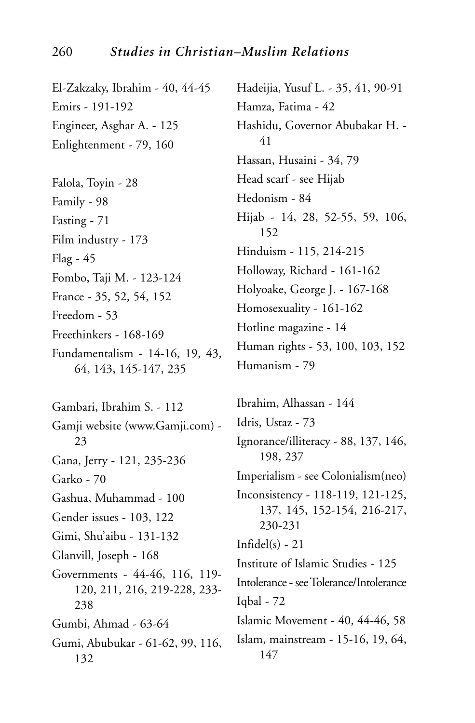#### 260 *Studies in Christian–Muslim Relations*

El-Zakzaky, Ibrahim - 40, 44-45 Emirs - 191-192 Engineer, Asghar A. - 125 Enlightenment - 79, 160

Falola, Toyin - 28 Family - 98 Fasting - 71 Film industry - 173 Flag - 45 Fombo, Taji M. - 123-124 France - 35, 52, 54, 152 Freedom - 53 Freethinkers - 168-169 Fundamentalism - 14-16, 19, 43,

64, 143, 145-147, 235

Gambari, Ibrahim S. - 112 Gamji website (www.Gamji.com) - 23 Gana, Jerry - 121, 235-236 Garko - 70 Gashua, Muhammad - 100 Gender issues - 103, 122 Gimi, Shu'aibu - 131-132 Glanvill, Joseph - 168 Governments - 44-46, 116, 119- 120, 211, 216, 219-228, 233- 238 Gumbi, Ahmad - 63-64 Gumi, Abubukar - 61-62, 99, 116, 132

Hadeijia, Yusuf L. - 35, 41, 90-91 Hamza, Fatima - 42 Hashidu, Governor Abubakar H. - 41 Hassan, Husaini - 34, 79 Head scarf - see Hijab Hedonism - 84 Hijab - 14, 28, 52-55, 59, 106, 152 Hinduism - 115, 214-215 Holloway, Richard - 161-162 Holyoake, George J. - 167-168 Homosexuality - 161-162 Hotline magazine - 14 Human rights - 53, 100, 103, 152 Humanism - 79

Ibrahim, Alhassan - 144 Idris, Ustaz - 73 Ignorance/illiteracy - 88, 137, 146, 198, 237 Imperialism - see Colonialism(neo) Inconsistency - 118-119, 121-125, 137, 145, 152-154, 216-217, 230-231  $Infidel(s) - 21$ Institute of Islamic Studies - 125 Intolerance - see Tolerance/Intolerance Iqbal - 72 Islamic Movement - 40, 44-46, 58 Islam, mainstream - 15-16, 19, 64, 147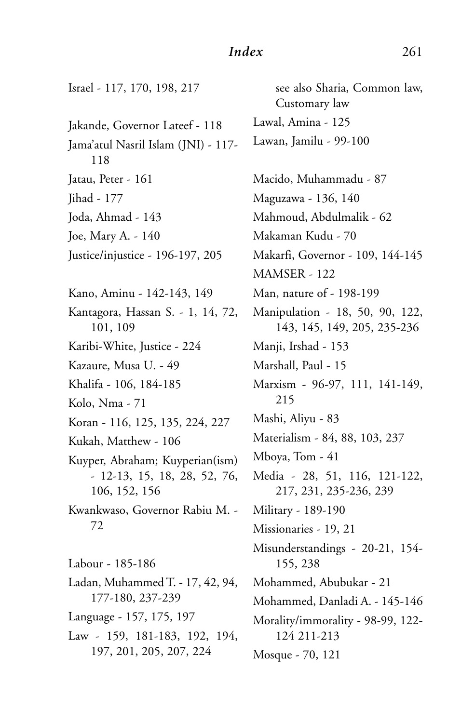## *Index* 261

| Israel - 117, 170, 198, 217                   | see also Sharia, Common law,<br>Customary law                  |
|-----------------------------------------------|----------------------------------------------------------------|
| Jakande, Governor Lateef - 118                | Lawal, Amina - 125                                             |
| Jama'atul Nasril Islam (JNI) - 117-<br>118    | Lawan, Jamilu - 99-100                                         |
| Jatau, Peter - 161                            | Macido, Muhammadu - 87                                         |
| Jihad - 177                                   | Maguzawa - 136, 140                                            |
| Joda, Ahmad - 143                             | Mahmoud, Abdulmalik - 62                                       |
| Joe, Mary A. - 140                            | Makaman Kudu - 70                                              |
| Justice/injustice - 196-197, 205              | Makarfi, Governor - 109, 144-145                               |
|                                               | MAMSER - 122                                                   |
| Kano, Aminu - 142-143, 149                    | Man, nature of - 198-199                                       |
| Kantagora, Hassan S. - 1, 14, 72,<br>101, 109 | Manipulation - 18, 50, 90, 122,<br>143, 145, 149, 205, 235-236 |
| Karibi-White, Justice - 224                   | Manji, Irshad - 153                                            |
| Kazaure, Musa U. - 49                         | Marshall, Paul - 15                                            |
| Khalifa - 106, 184-185                        | Marxism - 96-97, 111, 141-149,                                 |
| Kolo, Nma - 71                                | 215                                                            |
| Koran - 116, 125, 135, 224, 227               | Mashi, Aliyu - 83                                              |
| Kukah, Matthew - 106                          | Materialism - 84, 88, 103, 237                                 |
| Kuyper, Abraham; Kuyperian(ism)               | Mboya, Tom - 41                                                |
| - 12-13, 15, 18, 28, 52, 76,<br>106, 152, 156 | Media - 28, 51, 116, 121-122,<br>217, 231, 235-236, 239        |
| Kwankwaso, Governor Rabiu M. -                | Military - 189-190                                             |
| 72                                            | Missionaries - 19, 21                                          |
| Labour - 185-186                              | Misunderstandings - 20-21, 154-<br>155, 238                    |
| Ladan, Muhammed T. - 17, 42, 94,              | Mohammed, Abubukar - 21                                        |
| 177-180, 237-239                              | Mohammed, Danladi A. - 145-146                                 |
| Language - 157, 175, 197                      | Morality/immorality - 98-99, 122-                              |
| Law - 159, 181-183, 192, 194,                 | 124 211-213                                                    |
| 197, 201, 205, 207, 224                       | Mosque - 70, 121                                               |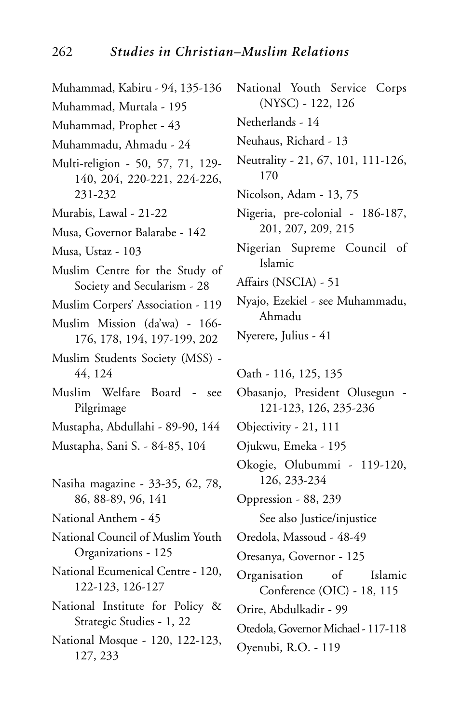Muhammad, Kabiru - 94, 135-136 Muhammad, Murtala - 195 Muhammad, Prophet - 43 Muhammadu, Ahmadu - 24 Multi-religion - 50, 57, 71, 129- 140, 204, 220-221, 224-226, 231-232 Murabis, Lawal - 21-22 Musa, Governor Balarabe - 142 Musa, Ustaz - 103 Muslim Centre for the Study of Society and Secularism - 28 Muslim Corpers' Association - 119 Muslim Mission (da'wa) - 166- 176, 178, 194, 197-199, 202 Muslim Students Society (MSS) - 44, 124 Muslim Welfare Board - see Pilgrimage Mustapha, Abdullahi - 89-90, 144 Mustapha, Sani S. - 84-85, 104 Nasiha magazine - 33-35, 62, 78, 86, 88-89, 96, 141 National Anthem - 45 National Council of Muslim Youth Organizations - 125 National Ecumenical Centre - 120, 122-123, 126-127 National Institute for Policy & Strategic Studies - 1, 22 National Mosque - 120, 122-123, 127, 233

National Youth Service Corps (NYSC) - 122, 126 Netherlands - 14 Neuhaus, Richard - 13 Neutrality - 21, 67, 101, 111-126, 170 Nicolson, Adam - 13, 75 Nigeria, pre-colonial - 186-187, 201, 207, 209, 215 Nigerian Supreme Council of Islamic Affairs (NSCIA) - 51 Nyajo, Ezekiel - see Muhammadu, Ahmadu Nyerere, Julius - 41 Oath - 116, 125, 135 Obasanjo, President Olusegun - 121-123, 126, 235-236 Objectivity - 21, 111 Ojukwu, Emeka - 195 Okogie, Olubummi - 119-120, 126, 233-234 Oppression - 88, 239 See also Justice/injustice Oredola, Massoud - 48-49 Oresanya, Governor - 125 Organisation of Islamic Conference (OIC) - 18, 115 Orire, Abdulkadir - 99 Otedola, Governor Michael - 117-118 Oyenubi, R.O. - 119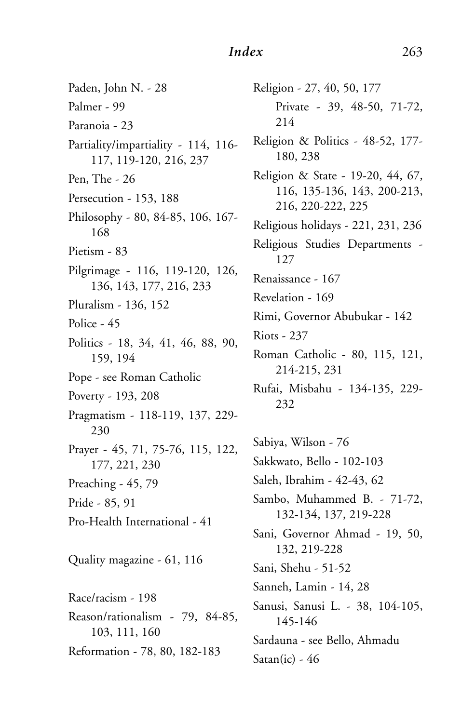Paden, John N. - 28 Palmer - 99 Paranoia - 23 Partiality/impartiality - 114, 116- 117, 119-120, 216, 237 Pen, The - 26 Persecution - 153, 188 Philosophy - 80, 84-85, 106, 167- 168 Pietism - 83 Pilgrimage - 116, 119-120, 126, 136, 143, 177, 216, 233 Pluralism - 136, 152 Police - 45 Politics - 18, 34, 41, 46, 88, 90, 159, 194 Pope - see Roman Catholic Poverty - 193, 208 Pragmatism - 118-119, 137, 229- 230 Prayer - 45, 71, 75-76, 115, 122, 177, 221, 230 Preaching - 45, 79 Pride - 85, 91 Pro-Health International - 41 Quality magazine - 61, 116 Race/racism - 198 Reason/rationalism - 79, 84-85, 103, 111, 160 Reformation - 78, 80, 182-183

Religion - 27, 40, 50, 177 Private - 39, 48-50, 71-72, 214 Religion & Politics - 48-52, 177- 180, 238 Religion & State - 19-20, 44, 67, 116, 135-136, 143, 200-213, 216, 220-222, 225 Religious holidays - 221, 231, 236 Religious Studies Departments - 127 Renaissance - 167 Revelation - 169 Rimi, Governor Abubukar - 142 Riots - 237 Roman Catholic - 80, 115, 121, 214-215, 231 Rufai, Misbahu - 134-135, 229- 232 Sabiya, Wilson - 76

Sakkwato, Bello - 102-103 Saleh, Ibrahim - 42-43, 62 Sambo, Muhammed B. - 71-72, 132-134, 137, 219-228 Sani, Governor Ahmad - 19, 50, 132, 219-228 Sani, Shehu - 51-52 Sanneh, Lamin - 14, 28 Sanusi, Sanusi L. - 38, 104-105, 145-146 Sardauna - see Bello, Ahmadu Satan(ic) -  $46$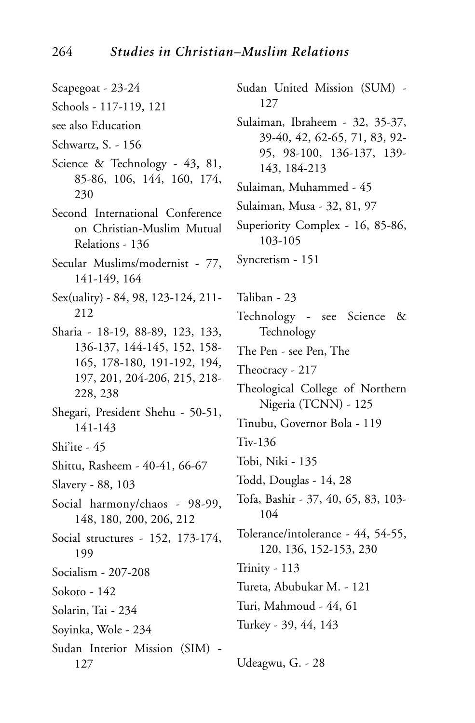- Scapegoat 23-24
- Schools 117-119, 121
- see also Education
- Schwartz, S. 156
- Science & Technology 43, 81, 85-86, 106, 144, 160, 174, 230
- Second International Conference on Christian-Muslim Mutual Relations - 136
- Secular Muslims/modernist 77, 141-149, 164
- Sex(uality) 84, 98, 123-124, 211- 212
- Sharia 18-19, 88-89, 123, 133, 136-137, 144-145, 152, 158- 165, 178-180, 191-192, 194, 197, 201, 204-206, 215, 218- 228, 238
- Shegari, President Shehu 50-51, 141-143
- Shi'ite 45
- Shittu, Rasheem 40-41, 66-67
- Slavery 88, 103
- Social harmony/chaos 98-99, 148, 180, 200, 206, 212
- Social structures 152, 173-174, 199
- Socialism 207-208
- Sokoto 142
- Solarin, Tai 234
- Soyinka, Wole 234
- Sudan Interior Mission (SIM) 127
- Sudan United Mission (SUM) 127
- Sulaiman, Ibraheem 32, 35-37, 39-40, 42, 62-65, 71, 83, 92- 95, 98-100, 136-137, 139- 143, 184-213
- Sulaiman, Muhammed 45
- Sulaiman, Musa 32, 81, 97
- Superiority Complex 16, 85-86, 103-105
- Syncretism 151
- Taliban 23
- Technology see Science & Technology
- The Pen see Pen, The
- Theocracy 217
- Theological College of Northern Nigeria (TCNN) - 125
- Tinubu, Governor Bola 119
- Tiv-136
- Tobi, Niki 135
- Todd, Douglas 14, 28
- Tofa, Bashir 37, 40, 65, 83, 103- 104
- Tolerance/intolerance 44, 54-55, 120, 136, 152-153, 230
- Trinity 113
- Tureta, Abubukar M. 121
- Turi, Mahmoud 44, 61
- Turkey 39, 44, 143
- Udeagwu, G. 28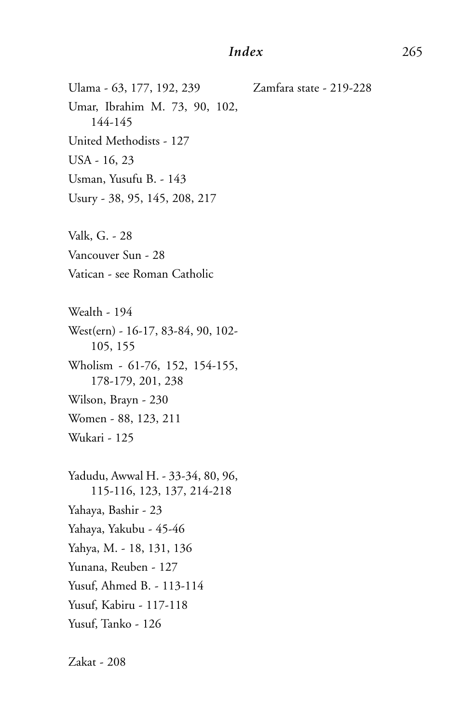#### *Index* 265

Zamfara state - 219-228

Ulama - 63, 177, 192, 239 Umar, Ibrahim M. 73, 90, 102, 144-145 United Methodists - 127 USA - 16, 23 Usman, Yusufu B. - 143 Usury - 38, 95, 145, 208, 217 Valk, G. - 28 Vancouver Sun - 28 Vatican - see Roman Catholic Wealth - 194 West(ern) - 16-17, 83-84, 90, 102- 105, 155 Wholism - 61-76, 152, 154-155, 178-179, 201, 238 Wilson, Brayn - 230 Women - 88, 123, 211 Wukari - 125 Yadudu, Awwal H. - 33-34, 80, 96, 115-116, 123, 137, 214-218 Yahaya, Bashir - 23 Yahaya, Yakubu - 45-46 Yahya, M. - 18, 131, 136 Yunana, Reuben - 127

Yusuf, Ahmed B. - 113-114

Yusuf, Kabiru - 117-118

Yusuf, Tanko - 126

Zakat - 208